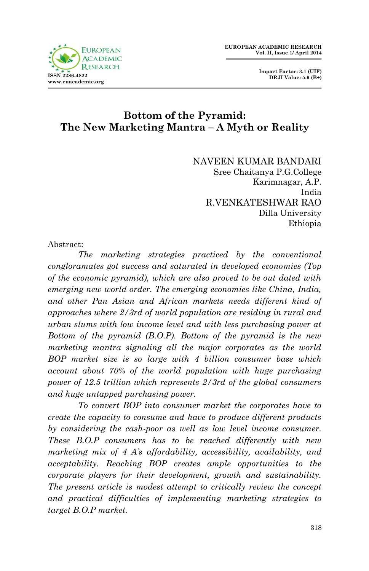

 **Impact Factor: 3.1 (UIF) DRJI Value: 5.9 (B+)**

## **Bottom of the Pyramid: The New Marketing Mantra – A Myth or Reality**

NAVEEN KUMAR BANDARI Sree Chaitanya P.G.College Karimnagar, A.P. India R.VENKATESHWAR RAO Dilla University Ethiopia

Abstract:

*The marketing strategies practiced by the conventional congloramates got success and saturated in developed economies (Top of the economic pyramid), which are also proved to be out dated with emerging new world order. The emerging economies like China, India, and other Pan Asian and African markets needs different kind of approaches where 2/3rd of world population are residing in rural and urban slums with low income level and with less purchasing power at Bottom of the pyramid (B.O.P). Bottom of the pyramid is the new marketing mantra signaling all the major corporates as the world BOP market size is so large with 4 billion consumer base which account about 70% of the world population with huge purchasing power of 12.5 trillion which represents 2/3rd of the global consumers and huge untapped purchasing power.*

*To convert BOP into consumer market the corporates have to create the capacity to consume and have to produce different products by considering the cash-poor as well as low level income consumer. These B.O.P consumers has to be reached differently with new marketing mix of 4 A's affordability, accessibility, availability, and acceptability. Reaching BOP creates ample opportunities to the corporate players for their development, growth and sustainability. The present article is modest attempt to critically review the concept and practical difficulties of implementing marketing strategies to target B.O.P market.*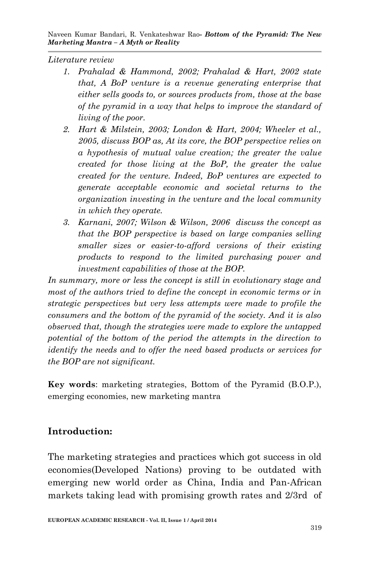*Literature review*

- *1. Prahalad & Hammond, 2002; Prahalad & Hart, 2002 state that, A BoP venture is a revenue generating enterprise that either sells goods to, or sources products from, those at the base of the pyramid in a way that helps to improve the standard of living of the poor.*
- *2. Hart & Milstein, 2003; London & Hart, 2004; Wheeler et al., 2005, discuss BOP as, At its core, the BOP perspective relies on a hypothesis of mutual value creation; the greater the value created for those living at the BoP, the greater the value created for the venture. Indeed, BoP ventures are expected to generate acceptable economic and societal returns to the organization investing in the venture and the local community in which they operate.*
- *3. Karnani, 2007; Wilson & Wilson, 2006 discuss the concept as that the BOP perspective is based on large companies selling smaller sizes or easier-to-afford versions of their existing products to respond to the limited purchasing power and investment capabilities of those at the BOP.*

*In summary, more or less the concept is still in evolutionary stage and most of the authors tried to define the concept in economic terms or in strategic perspectives but very less attempts were made to profile the consumers and the bottom of the pyramid of the society. And it is also observed that, though the strategies were made to explore the untapped potential of the bottom of the period the attempts in the direction to identify the needs and to offer the need based products or services for the BOP are not significant.*

**Key words**: marketing strategies, Bottom of the Pyramid (B.O.P.), emerging economies, new marketing mantra

## **Introduction:**

The marketing strategies and practices which got success in old economies(Developed Nations) proving to be outdated with emerging new world order as China, India and Pan-African markets taking lead with promising growth rates and 2/3rd of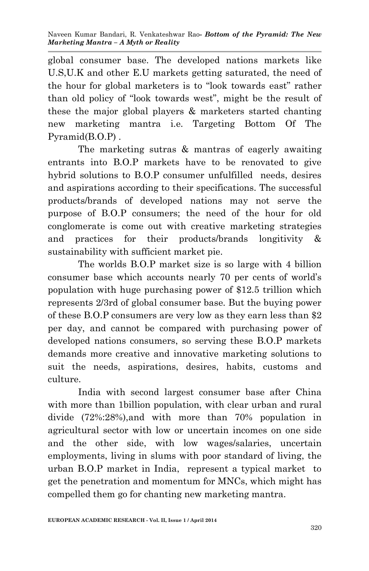global consumer base. The developed nations markets like U.S,U.K and other E.U markets getting saturated, the need of the hour for global marketers is to "look towards east" rather than old policy of "look towards west", might be the result of these the major global players & marketers started chanting new marketing mantra i.e. Targeting Bottom Of The Pyramid(B.O.P) .

The marketing sutras & mantras of eagerly awaiting entrants into B.O.P markets have to be renovated to give hybrid solutions to B.O.P consumer unfulfilled needs, desires and aspirations according to their specifications. The successful products/brands of developed nations may not serve the purpose of B.O.P consumers; the need of the hour for old conglomerate is come out with creative marketing strategies and practices for their products/brands longitivity & sustainability with sufficient market pie.

The worlds B.O.P market size is so large with 4 billion consumer base which accounts nearly 70 per cents of world's population with huge purchasing power of \$12.5 trillion which represents 2/3rd of global consumer base. But the buying power of these B.O.P consumers are very low as they earn less than \$2 per day, and cannot be compared with purchasing power of developed nations consumers, so serving these B.O.P markets demands more creative and innovative marketing solutions to suit the needs, aspirations, desires, habits, customs and culture.

 India with second largest consumer base after China with more than 1billion population, with clear urban and rural divide (72%:28%),and with more than 70% population in agricultural sector with low or uncertain incomes on one side and the other side, with low wages/salaries, uncertain employments, living in slums with poor standard of living, the urban B.O.P market in India, represent a typical market to get the penetration and momentum for MNCs, which might has compelled them go for chanting new marketing mantra.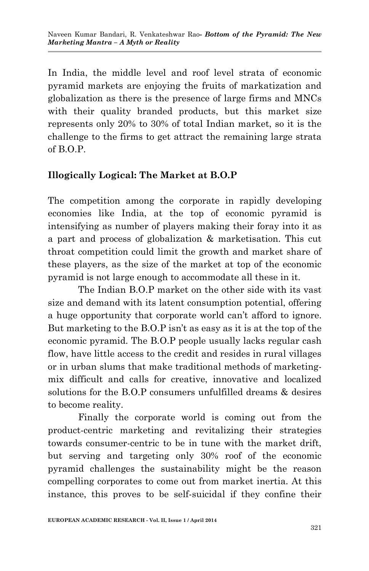In India, the middle level and roof level strata of economic pyramid markets are enjoying the fruits of markatization and globalization as there is the presence of large firms and MNCs with their quality branded products, but this market size represents only 20% to 30% of total Indian market, so it is the challenge to the firms to get attract the remaining large strata of B.O.P.

## **Illogically Logical: The Market at B.O.P**

The competition among the corporate in rapidly developing economies like India, at the top of economic pyramid is intensifying as number of players making their foray into it as a part and process of globalization & marketisation. This cut throat competition could limit the growth and market share of these players, as the size of the market at top of the economic pyramid is not large enough to accommodate all these in it.

The Indian B.O.P market on the other side with its vast size and demand with its latent consumption potential, offering a huge opportunity that corporate world can't afford to ignore. But marketing to the B.O.P isn't as easy as it is at the top of the economic pyramid. The B.O.P people usually lacks regular cash flow, have little access to the credit and resides in rural villages or in urban slums that make traditional methods of marketingmix difficult and calls for creative, innovative and localized solutions for the B.O.P consumers unfulfilled dreams & desires to become reality.

Finally the corporate world is coming out from the product-centric marketing and revitalizing their strategies towards consumer-centric to be in tune with the market drift, but serving and targeting only 30% roof of the economic pyramid challenges the sustainability might be the reason compelling corporates to come out from market inertia. At this instance, this proves to be self-suicidal if they confine their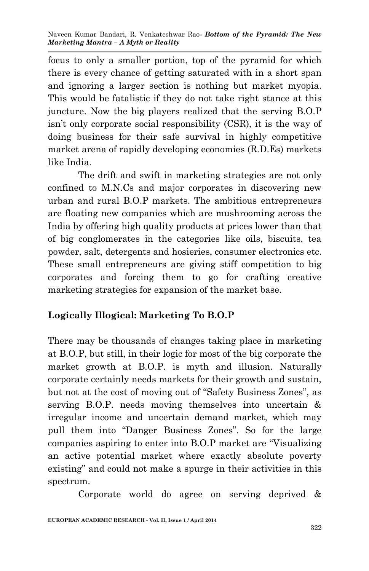focus to only a smaller portion, top of the pyramid for which there is every chance of getting saturated with in a short span and ignoring a larger section is nothing but market myopia. This would be fatalistic if they do not take right stance at this juncture. Now the big players realized that the serving B.O.P isn't only corporate social responsibility (CSR), it is the way of doing business for their safe survival in highly competitive market arena of rapidly developing economies (R.D.Es) markets like India.

The drift and swift in marketing strategies are not only confined to M.N.Cs and major corporates in discovering new urban and rural B.O.P markets. The ambitious entrepreneurs are floating new companies which are mushrooming across the India by offering high quality products at prices lower than that of big conglomerates in the categories like oils, biscuits, tea powder, salt, detergents and hosieries, consumer electronics etc. These small entrepreneurs are giving stiff competition to big corporates and forcing them to go for crafting creative marketing strategies for expansion of the market base.

# **Logically Illogical: Marketing To B.O.P**

There may be thousands of changes taking place in marketing at B.O.P, but still, in their logic for most of the big corporate the market growth at B.O.P. is myth and illusion. Naturally corporate certainly needs markets for their growth and sustain, but not at the cost of moving out of "Safety Business Zones", as serving B.O.P. needs moving themselves into uncertain & irregular income and uncertain demand market, which may pull them into "Danger Business Zones". So for the large companies aspiring to enter into B.O.P market are "Visualizing an active potential market where exactly absolute poverty existing" and could not make a spurge in their activities in this spectrum.

Corporate world do agree on serving deprived &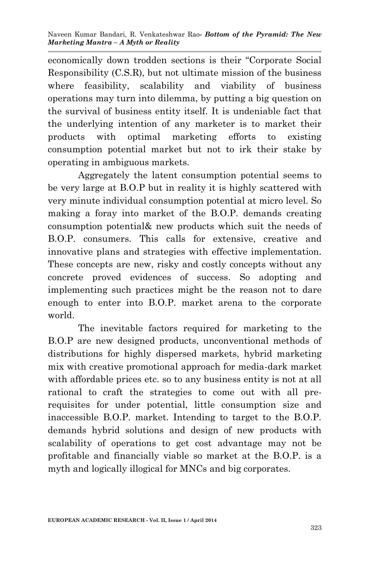economically down trodden sections is their "Corporate Social Responsibility (C.S.R), but not ultimate mission of the business where feasibility, scalability and viability of business operations may turn into dilemma, by putting a big question on the survival of business entity itself. It is undeniable fact that the underlying intention of any marketer is to market their products with optimal marketing efforts to existing consumption potential market but not to irk their stake by operating in ambiguous markets.

Aggregately the latent consumption potential seems to be very large at B.O.P but in reality it is highly scattered with very minute individual consumption potential at micro level. So making a foray into market of the B.O.P. demands creating consumption potential& new products which suit the needs of B.O.P. consumers. This calls for extensive, creative and innovative plans and strategies with effective implementation. These concepts are new, risky and costly concepts without any concrete proved evidences of success. So adopting and implementing such practices might be the reason not to dare enough to enter into B.O.P. market arena to the corporate world.

The inevitable factors required for marketing to the B.O.P are new designed products, unconventional methods of distributions for highly dispersed markets, hybrid marketing mix with creative promotional approach for media-dark market with affordable prices etc. so to any business entity is not at all rational to craft the strategies to come out with all prerequisites for under potential, little consumption size and inaccessible B.O.P. market. Intending to target to the B.O.P. demands hybrid solutions and design of new products with scalability of operations to get cost advantage may not be profitable and financially viable so market at the B.O.P. is a myth and logically illogical for MNCs and big corporates.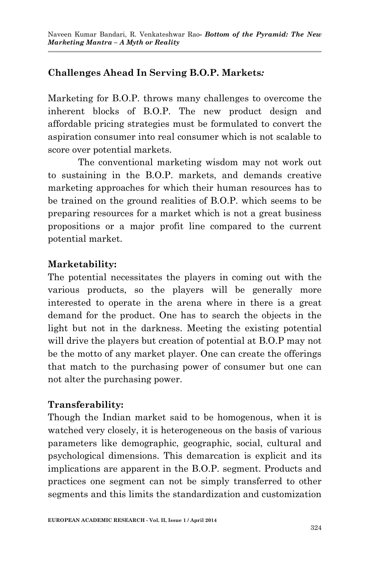## **Challenges Ahead In Serving B.O.P. Markets***:*

Marketing for B.O.P. throws many challenges to overcome the inherent blocks of B.O.P. The new product design and affordable pricing strategies must be formulated to convert the aspiration consumer into real consumer which is not scalable to score over potential markets.

The conventional marketing wisdom may not work out to sustaining in the B.O.P. markets, and demands creative marketing approaches for which their human resources has to be trained on the ground realities of B.O.P. which seems to be preparing resources for a market which is not a great business propositions or a major profit line compared to the current potential market.

## **Marketability:**

The potential necessitates the players in coming out with the various products, so the players will be generally more interested to operate in the arena where in there is a great demand for the product. One has to search the objects in the light but not in the darkness. Meeting the existing potential will drive the players but creation of potential at B.O.P may not be the motto of any market player. One can create the offerings that match to the purchasing power of consumer but one can not alter the purchasing power.

## **Transferability:**

Though the Indian market said to be homogenous, when it is watched very closely, it is heterogeneous on the basis of various parameters like demographic, geographic, social, cultural and psychological dimensions. This demarcation is explicit and its implications are apparent in the B.O.P. segment. Products and practices one segment can not be simply transferred to other segments and this limits the standardization and customization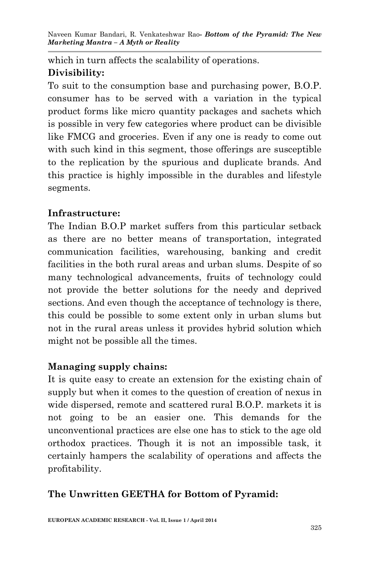which in turn affects the scalability of operations. **Divisibility:**

To suit to the consumption base and purchasing power, B.O.P. consumer has to be served with a variation in the typical product forms like micro quantity packages and sachets which is possible in very few categories where product can be divisible like FMCG and groceries. Even if any one is ready to come out with such kind in this segment, those offerings are susceptible to the replication by the spurious and duplicate brands. And this practice is highly impossible in the durables and lifestyle segments.

## **Infrastructure:**

The Indian B.O.P market suffers from this particular setback as there are no better means of transportation, integrated communication facilities, warehousing, banking and credit facilities in the both rural areas and urban slums. Despite of so many technological advancements, fruits of technology could not provide the better solutions for the needy and deprived sections. And even though the acceptance of technology is there, this could be possible to some extent only in urban slums but not in the rural areas unless it provides hybrid solution which might not be possible all the times.

#### **Managing supply chains:**

It is quite easy to create an extension for the existing chain of supply but when it comes to the question of creation of nexus in wide dispersed, remote and scattered rural B.O.P. markets it is not going to be an easier one. This demands for the unconventional practices are else one has to stick to the age old orthodox practices. Though it is not an impossible task, it certainly hampers the scalability of operations and affects the profitability.

## **The Unwritten GEETHA for Bottom of Pyramid:**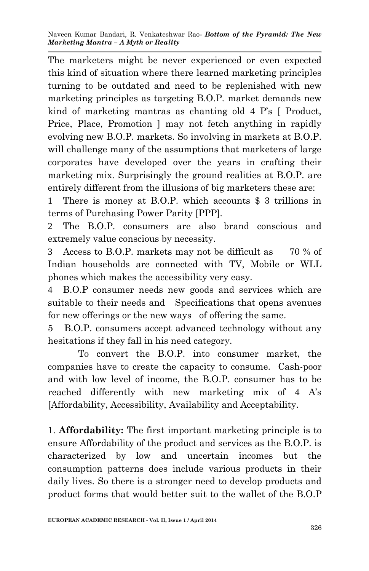The marketers might be never experienced or even expected this kind of situation where there learned marketing principles turning to be outdated and need to be replenished with new marketing principles as targeting B.O.P. market demands new kind of marketing mantras as chanting old 4 P's [ Product, Price, Place, Promotion ] may not fetch anything in rapidly evolving new B.O.P. markets. So involving in markets at B.O.P. will challenge many of the assumptions that marketers of large corporates have developed over the years in crafting their marketing mix. Surprisingly the ground realities at B.O.P. are entirely different from the illusions of big marketers these are:

1 There is money at B.O.P. which accounts \$ 3 trillions in terms of Purchasing Power Parity [PPP].

2 The B.O.P. consumers are also brand conscious and extremely value conscious by necessity.

3 Access to B.O.P. markets may not be difficult as 70 % of Indian households are connected with TV, Mobile or WLL phones which makes the accessibility very easy.

4 B.O.P consumer needs new goods and services which are suitable to their needs and Specifications that opens avenues for new offerings or the new ways of offering the same.

5 B.O.P. consumers accept advanced technology without any hesitations if they fall in his need category.

To convert the B.O.P. into consumer market, the companies have to create the capacity to consume. Cash-poor and with low level of income, the B.O.P. consumer has to be reached differently with new marketing mix of 4 A's [Affordability, Accessibility, Availability and Acceptability.

1. **Affordability:** The first important marketing principle is to ensure Affordability of the product and services as the B.O.P. is characterized by low and uncertain incomes but the consumption patterns does include various products in their daily lives. So there is a stronger need to develop products and product forms that would better suit to the wallet of the B.O.P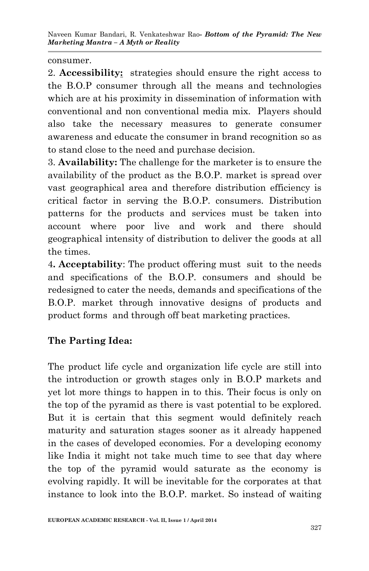consumer.

2. **Accessibility:** strategies should ensure the right access to the B.O.P consumer through all the means and technologies which are at his proximity in dissemination of information with conventional and non conventional media mix. Players should also take the necessary measures to generate consumer awareness and educate the consumer in brand recognition so as to stand close to the need and purchase decision.

3. **Availability:** The challenge for the marketer is to ensure the availability of the product as the B.O.P. market is spread over vast geographical area and therefore distribution efficiency is critical factor in serving the B.O.P. consumers. Distribution patterns for the products and services must be taken into account where poor live and work and there should geographical intensity of distribution to deliver the goods at all the times.

4**. Acceptability**: The product offering must suit to the needs and specifications of the B.O.P. consumers and should be redesigned to cater the needs, demands and specifications of the B.O.P. market through innovative designs of products and product forms and through off beat marketing practices.

# **The Parting Idea:**

The product life cycle and organization life cycle are still into the introduction or growth stages only in B.O.P markets and yet lot more things to happen in to this. Their focus is only on the top of the pyramid as there is vast potential to be explored. But it is certain that this segment would definitely reach maturity and saturation stages sooner as it already happened in the cases of developed economies. For a developing economy like India it might not take much time to see that day where the top of the pyramid would saturate as the economy is evolving rapidly. It will be inevitable for the corporates at that instance to look into the B.O.P. market. So instead of waiting